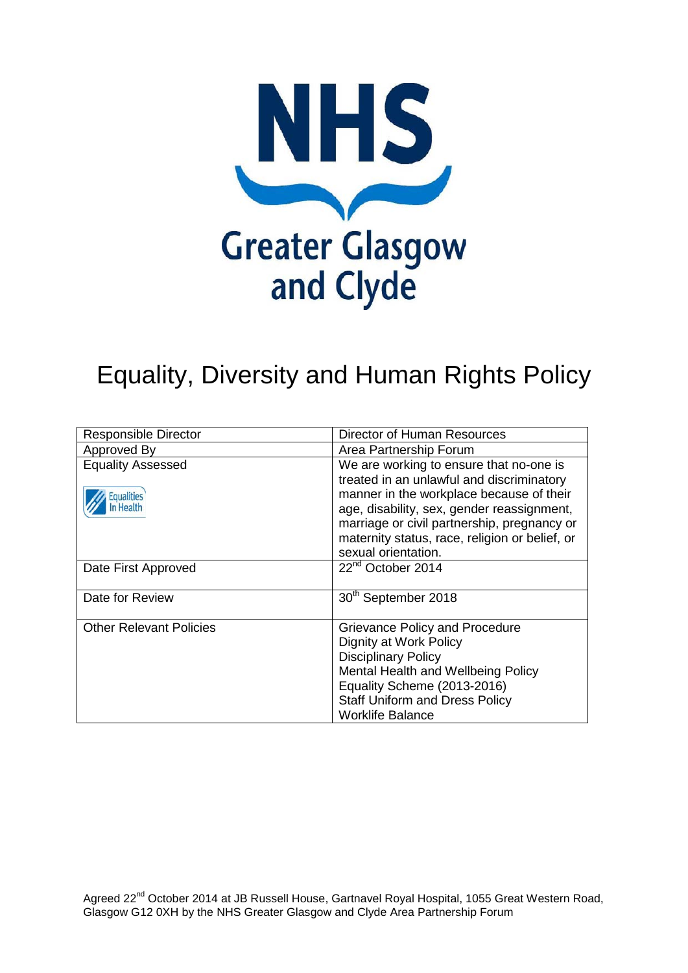

# Equality, Diversity and Human Rights Policy

| <b>Responsible Director</b>    | <b>Director of Human Resources</b>             |
|--------------------------------|------------------------------------------------|
| Approved By                    | Area Partnership Forum                         |
| <b>Equality Assessed</b>       | We are working to ensure that no-one is        |
|                                | treated in an unlawful and discriminatory      |
| <b>Equalities</b>              | manner in the workplace because of their       |
|                                | age, disability, sex, gender reassignment,     |
|                                | marriage or civil partnership, pregnancy or    |
|                                | maternity status, race, religion or belief, or |
|                                | sexual orientation.                            |
| Date First Approved            | 22 <sup>nd</sup> October 2014                  |
|                                |                                                |
| Date for Review                | 30 <sup>th</sup> September 2018                |
|                                |                                                |
| <b>Other Relevant Policies</b> | Grievance Policy and Procedure                 |
|                                | Dignity at Work Policy                         |
|                                | <b>Disciplinary Policy</b>                     |
|                                | Mental Health and Wellbeing Policy             |
|                                | Equality Scheme (2013-2016)                    |
|                                | <b>Staff Uniform and Dress Policy</b>          |
|                                | <b>Worklife Balance</b>                        |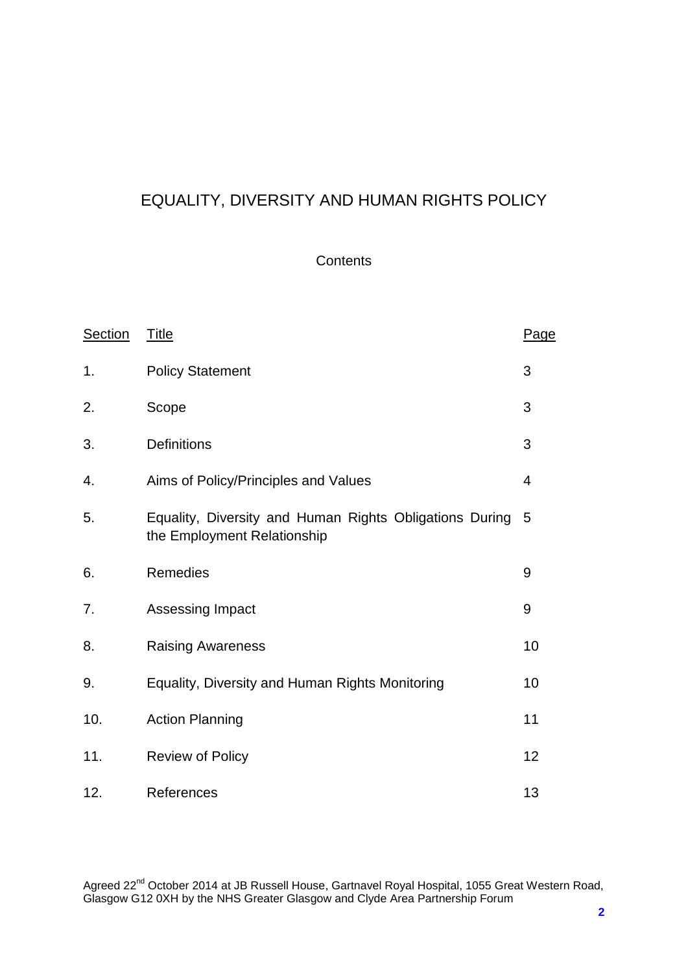### EQUALITY, DIVERSITY AND HUMAN RIGHTS POLICY

#### **Contents**

| <b>Section</b> | <b>Title</b>                                                                           | Page |
|----------------|----------------------------------------------------------------------------------------|------|
| 1.             | <b>Policy Statement</b>                                                                | 3    |
| 2.             | Scope                                                                                  | 3    |
| 3.             | <b>Definitions</b>                                                                     | 3    |
| 4.             | Aims of Policy/Principles and Values                                                   | 4    |
| 5.             | Equality, Diversity and Human Rights Obligations During<br>the Employment Relationship | 5    |
| 6.             | Remedies                                                                               | 9    |
| 7.             | Assessing Impact                                                                       | 9    |
| 8.             | <b>Raising Awareness</b>                                                               | 10   |
| 9.             | Equality, Diversity and Human Rights Monitoring                                        | 10   |
| 10.            | <b>Action Planning</b>                                                                 | 11   |
| 11.            | <b>Review of Policy</b>                                                                | 12   |
| 12.            | References                                                                             | 13   |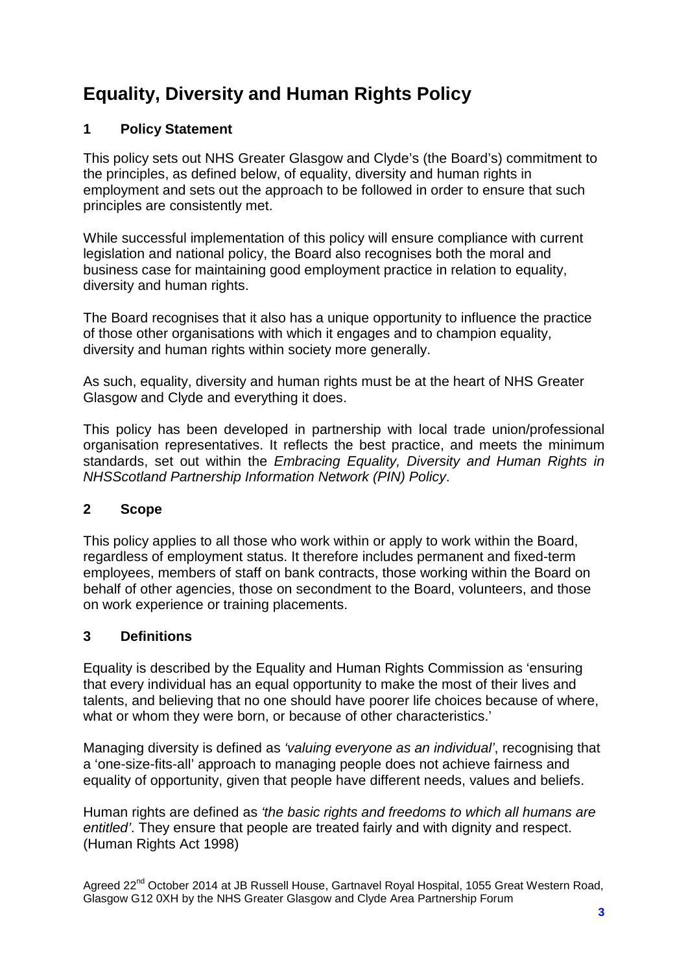## **Equality, Diversity and Human Rights Policy**

#### **1 Policy Statement**

This policy sets out NHS Greater Glasgow and Clyde's (the Board's) commitment to the principles, as defined below, of equality, diversity and human rights in employment and sets out the approach to be followed in order to ensure that such principles are consistently met.

While successful implementation of this policy will ensure compliance with current legislation and national policy, the Board also recognises both the moral and business case for maintaining good employment practice in relation to equality, diversity and human rights.

The Board recognises that it also has a unique opportunity to influence the practice of those other organisations with which it engages and to champion equality, diversity and human rights within society more generally.

As such, equality, diversity and human rights must be at the heart of NHS Greater Glasgow and Clyde and everything it does.

This policy has been developed in partnership with local trade union/professional organisation representatives. It reflects the best practice, and meets the minimum standards, set out within the *Embracing Equality, Diversity and Human Rights in NHSScotland Partnership Information Network (PIN) Policy*.

#### **2 Scope**

This policy applies to all those who work within or apply to work within the Board, regardless of employment status. It therefore includes permanent and fixed-term employees, members of staff on bank contracts, those working within the Board on behalf of other agencies, those on secondment to the Board, volunteers, and those on work experience or training placements.

#### **3 Definitions**

Equality is described by the Equality and Human Rights Commission as 'ensuring that every individual has an equal opportunity to make the most of their lives and talents, and believing that no one should have poorer life choices because of where, what or whom they were born, or because of other characteristics.'

Managing diversity is defined as *'valuing everyone as an individual'*, recognising that a 'one-size-fits-all' approach to managing people does not achieve fairness and equality of opportunity, given that people have different needs, values and beliefs.

Human rights are defined as *'the basic rights and freedoms to which all humans are entitled'*. They ensure that people are treated fairly and with dignity and respect. (Human Rights Act 1998)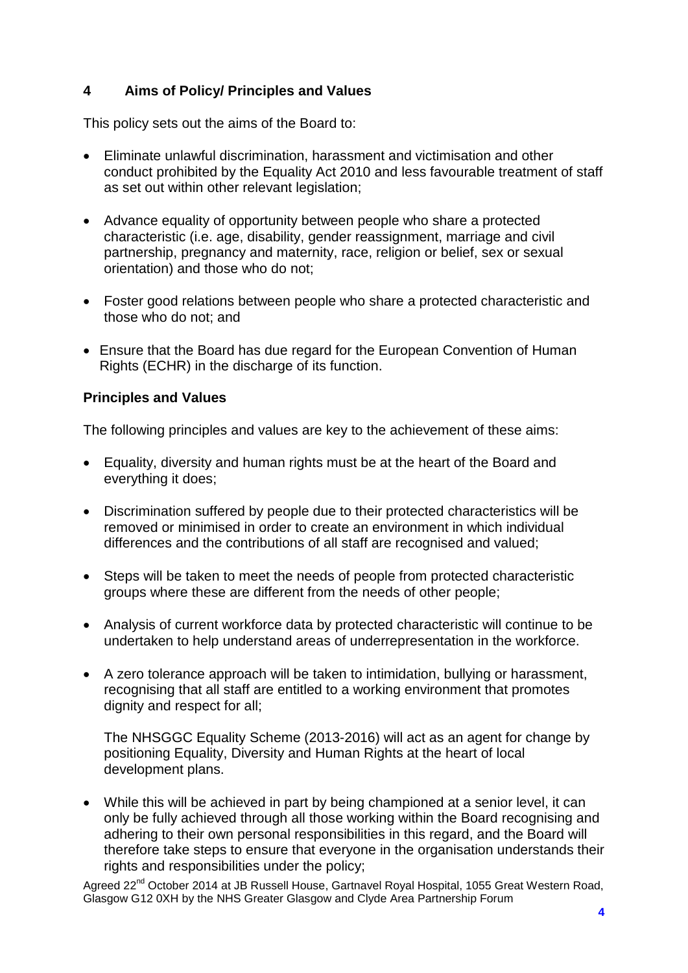#### **4 Aims of Policy/ Principles and Values**

This policy sets out the aims of the Board to:

- Eliminate unlawful discrimination, harassment and victimisation and other conduct prohibited by the Equality Act 2010 and less favourable treatment of staff as set out within other relevant legislation:
- Advance equality of opportunity between people who share a protected characteristic (i.e. age, disability, gender reassignment, marriage and civil partnership, pregnancy and maternity, race, religion or belief, sex or sexual orientation) and those who do not;
- Foster good relations between people who share a protected characteristic and those who do not; and
- Ensure that the Board has due regard for the European Convention of Human Rights (ECHR) in the discharge of its function.

#### **Principles and Values**

The following principles and values are key to the achievement of these aims:

- Equality, diversity and human rights must be at the heart of the Board and everything it does;
- Discrimination suffered by people due to their protected characteristics will be removed or minimised in order to create an environment in which individual differences and the contributions of all staff are recognised and valued;
- Steps will be taken to meet the needs of people from protected characteristic groups where these are different from the needs of other people;
- Analysis of current workforce data by protected characteristic will continue to be undertaken to help understand areas of underrepresentation in the workforce.
- A zero tolerance approach will be taken to intimidation, bullying or harassment, recognising that all staff are entitled to a working environment that promotes dignity and respect for all;

The NHSGGC Equality Scheme (2013-2016) will act as an agent for change by positioning Equality, Diversity and Human Rights at the heart of local development plans.

• While this will be achieved in part by being championed at a senior level, it can only be fully achieved through all those working within the Board recognising and adhering to their own personal responsibilities in this regard, and the Board will therefore take steps to ensure that everyone in the organisation understands their rights and responsibilities under the policy;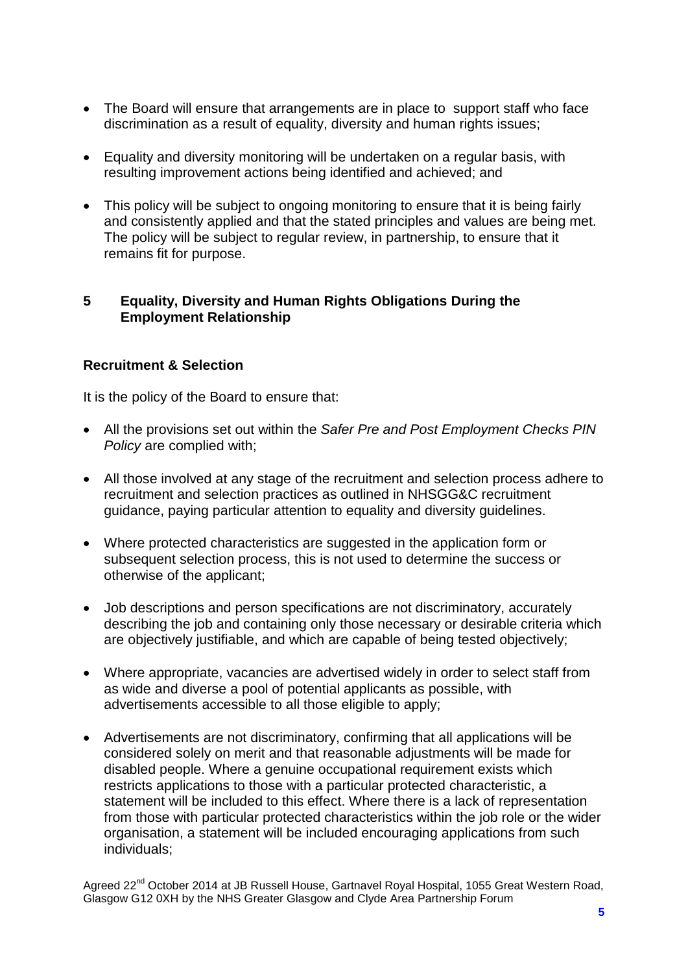- The Board will ensure that arrangements are in place to support staff who face discrimination as a result of equality, diversity and human rights issues;
- Equality and diversity monitoring will be undertaken on a regular basis, with resulting improvement actions being identified and achieved; and
- This policy will be subject to ongoing monitoring to ensure that it is being fairly and consistently applied and that the stated principles and values are being met. The policy will be subject to regular review, in partnership, to ensure that it remains fit for purpose.

#### **5 Equality, Diversity and Human Rights Obligations During the Employment Relationship**

#### **Recruitment & Selection**

It is the policy of the Board to ensure that:

- All the provisions set out within the *Safer Pre and Post Employment Checks PIN Policy* are complied with;
- All those involved at any stage of the recruitment and selection process adhere to recruitment and selection practices as outlined in NHSGG&C recruitment guidance, paying particular attention to equality and diversity guidelines.
- Where protected characteristics are suggested in the application form or subsequent selection process, this is not used to determine the success or otherwise of the applicant;
- Job descriptions and person specifications are not discriminatory, accurately describing the job and containing only those necessary or desirable criteria which are objectively justifiable, and which are capable of being tested objectively;
- Where appropriate, vacancies are advertised widely in order to select staff from as wide and diverse a pool of potential applicants as possible, with advertisements accessible to all those eligible to apply;
- Advertisements are not discriminatory, confirming that all applications will be considered solely on merit and that reasonable adjustments will be made for disabled people. Where a genuine occupational requirement exists which restricts applications to those with a particular protected characteristic, a statement will be included to this effect. Where there is a lack of representation from those with particular protected characteristics within the job role or the wider organisation, a statement will be included encouraging applications from such individuals;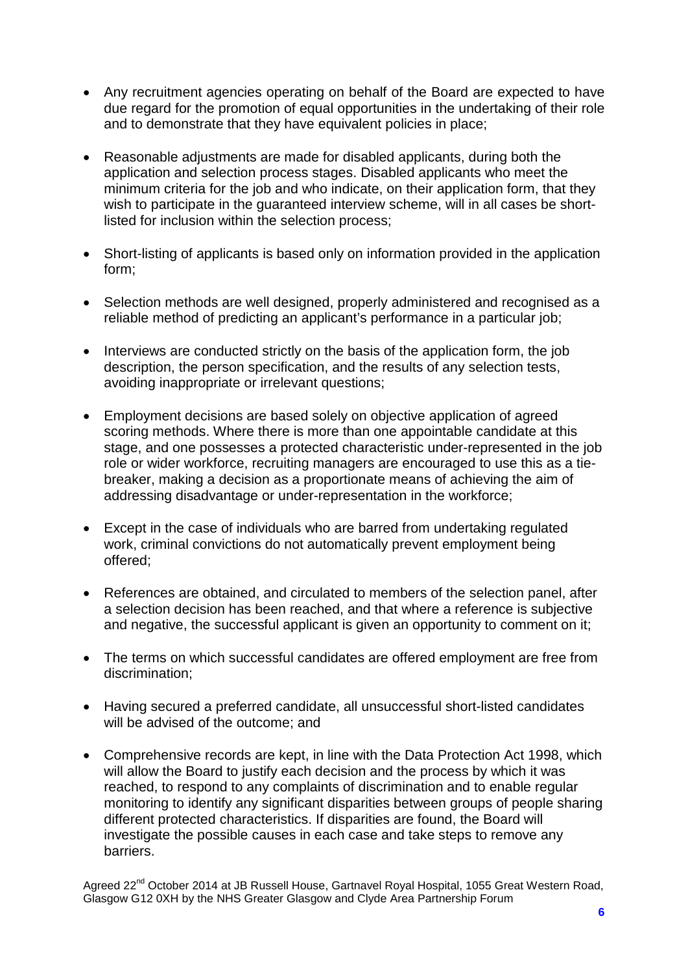- Any recruitment agencies operating on behalf of the Board are expected to have due regard for the promotion of equal opportunities in the undertaking of their role and to demonstrate that they have equivalent policies in place;
- Reasonable adjustments are made for disabled applicants, during both the application and selection process stages. Disabled applicants who meet the minimum criteria for the job and who indicate, on their application form, that they wish to participate in the guaranteed interview scheme, will in all cases be shortlisted for inclusion within the selection process;
- Short-listing of applicants is based only on information provided in the application form;
- Selection methods are well designed, properly administered and recognised as a reliable method of predicting an applicant's performance in a particular job;
- Interviews are conducted strictly on the basis of the application form, the job description, the person specification, and the results of any selection tests, avoiding inappropriate or irrelevant questions;
- Employment decisions are based solely on objective application of agreed scoring methods. Where there is more than one appointable candidate at this stage, and one possesses a protected characteristic under-represented in the job role or wider workforce, recruiting managers are encouraged to use this as a tiebreaker, making a decision as a proportionate means of achieving the aim of addressing disadvantage or under-representation in the workforce;
- Except in the case of individuals who are barred from undertaking regulated work, criminal convictions do not automatically prevent employment being offered;
- References are obtained, and circulated to members of the selection panel, after a selection decision has been reached, and that where a reference is subjective and negative, the successful applicant is given an opportunity to comment on it;
- The terms on which successful candidates are offered employment are free from discrimination;
- Having secured a preferred candidate, all unsuccessful short-listed candidates will be advised of the outcome; and
- Comprehensive records are kept, in line with the Data Protection Act 1998, which will allow the Board to justify each decision and the process by which it was reached, to respond to any complaints of discrimination and to enable regular monitoring to identify any significant disparities between groups of people sharing different protected characteristics. If disparities are found, the Board will investigate the possible causes in each case and take steps to remove any barriers.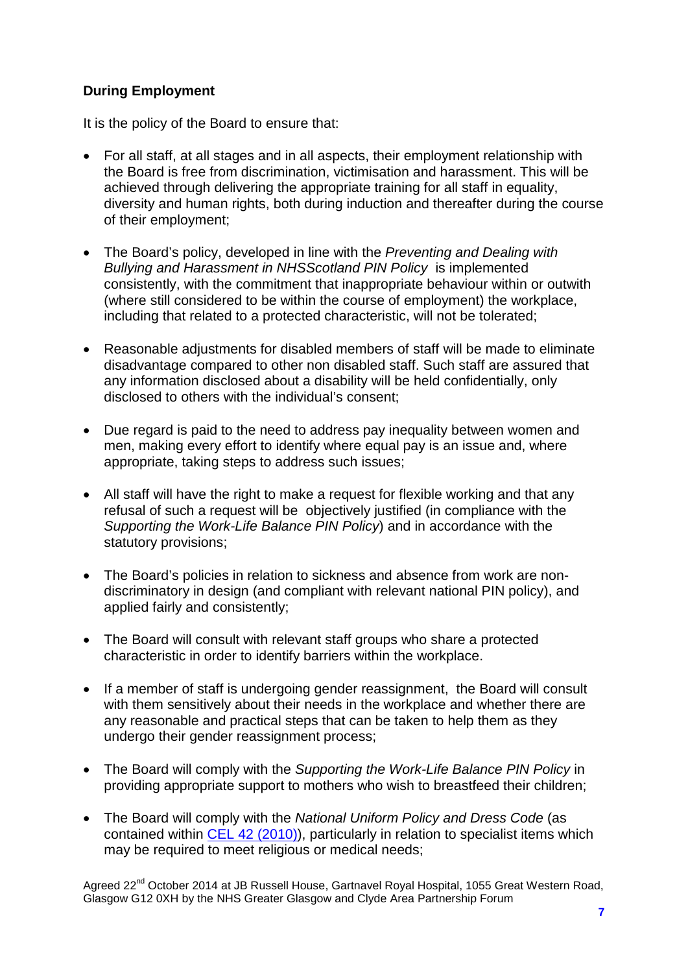#### **During Employment**

It is the policy of the Board to ensure that:

- For all staff, at all stages and in all aspects, their employment relationship with the Board is free from discrimination, victimisation and harassment. This will be achieved through delivering the appropriate training for all staff in equality, diversity and human rights, both during induction and thereafter during the course of their employment;
- The Board's policy, developed in line with the *Preventing and Dealing with Bullying and Harassment in NHSScotland PIN Policy* is implemented consistently, with the commitment that inappropriate behaviour within or outwith (where still considered to be within the course of employment) the workplace, including that related to a protected characteristic, will not be tolerated;
- Reasonable adjustments for disabled members of staff will be made to eliminate disadvantage compared to other non disabled staff. Such staff are assured that any information disclosed about a disability will be held confidentially, only disclosed to others with the individual's consent;
- Due regard is paid to the need to address pay inequality between women and men, making every effort to identify where equal pay is an issue and, where appropriate, taking steps to address such issues;
- All staff will have the right to make a request for flexible working and that any refusal of such a request will be objectively justified (in compliance with the *Supporting the Work-Life Balance PIN Policy*) and in accordance with the statutory provisions;
- The Board's policies in relation to sickness and absence from work are nondiscriminatory in design (and compliant with relevant national PIN policy), and applied fairly and consistently;
- The Board will consult with relevant staff groups who share a protected characteristic in order to identify barriers within the workplace.
- If a member of staff is undergoing gender reassignment, the Board will consult with them sensitively about their needs in the workplace and whether there are any reasonable and practical steps that can be taken to help them as they undergo their gender reassignment process;
- The Board will comply with the *Supporting the Work-Life Balance PIN Policy* in providing appropriate support to mothers who wish to breastfeed their children;
- The Board will comply with the *National Uniform Policy and Dress Code* (as contained within [CEL 42 \(2010\)\)](http://www.sehd.scot.nhs.uk/mels/CEL2010_42.pdf), particularly in relation to specialist items which may be required to meet religious or medical needs;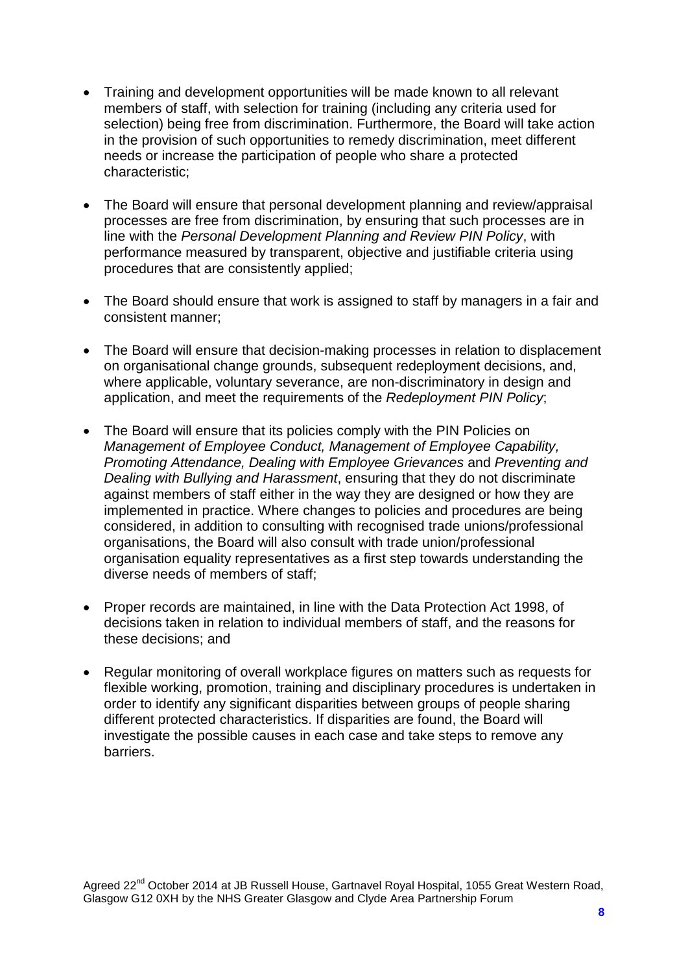- Training and development opportunities will be made known to all relevant members of staff, with selection for training (including any criteria used for selection) being free from discrimination. Furthermore, the Board will take action in the provision of such opportunities to remedy discrimination, meet different needs or increase the participation of people who share a protected characteristic;
- The Board will ensure that personal development planning and review/appraisal processes are free from discrimination, by ensuring that such processes are in line with the *Personal Development Planning and Review PIN Policy*, with performance measured by transparent, objective and justifiable criteria using procedures that are consistently applied;
- The Board should ensure that work is assigned to staff by managers in a fair and consistent manner;
- The Board will ensure that decision-making processes in relation to displacement on organisational change grounds, subsequent redeployment decisions, and, where applicable, voluntary severance, are non-discriminatory in design and application, and meet the requirements of the *Redeployment PIN Policy*;
- The Board will ensure that its policies comply with the PIN Policies on *Management of Employee Conduct, Management of Employee Capability, Promoting Attendance, Dealing with Employee Grievances* and *Preventing and Dealing with Bullying and Harassment*, ensuring that they do not discriminate against members of staff either in the way they are designed or how they are implemented in practice. Where changes to policies and procedures are being considered, in addition to consulting with recognised trade unions/professional organisations, the Board will also consult with trade union/professional organisation equality representatives as a first step towards understanding the diverse needs of members of staff;
- Proper records are maintained, in line with the Data Protection Act 1998, of decisions taken in relation to individual members of staff, and the reasons for these decisions; and
- Regular monitoring of overall workplace figures on matters such as requests for flexible working, promotion, training and disciplinary procedures is undertaken in order to identify any significant disparities between groups of people sharing different protected characteristics. If disparities are found, the Board will investigate the possible causes in each case and take steps to remove any barriers.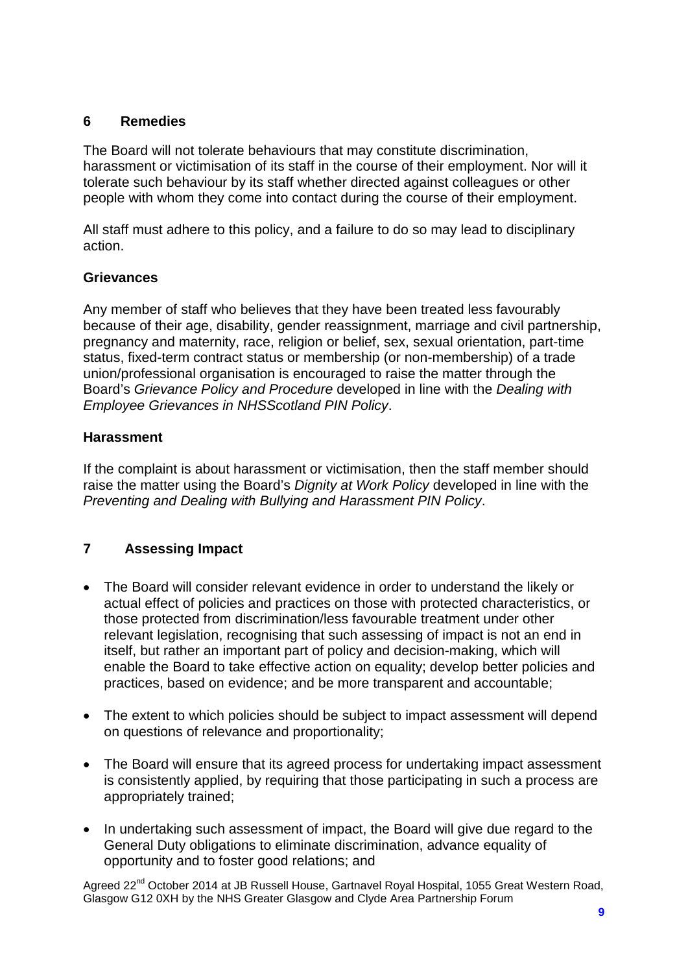#### **6 Remedies**

The Board will not tolerate behaviours that may constitute discrimination, harassment or victimisation of its staff in the course of their employment. Nor will it tolerate such behaviour by its staff whether directed against colleagues or other people with whom they come into contact during the course of their employment.

All staff must adhere to this policy, and a failure to do so may lead to disciplinary action.

#### **Grievances**

Any member of staff who believes that they have been treated less favourably because of their age, disability, gender reassignment, marriage and civil partnership, pregnancy and maternity, race, religion or belief, sex, sexual orientation, part-time status, fixed-term contract status or membership (or non-membership) of a trade union/professional organisation is encouraged to raise the matter through the Board's *Grievance Policy and Procedure* developed in line with the *Dealing with Employee Grievances in NHSScotland PIN Policy*.

#### **Harassment**

If the complaint is about harassment or victimisation, then the staff member should raise the matter using the Board's *Dignity at Work Policy* developed in line with the *Preventing and Dealing with Bullying and Harassment PIN Policy*.

#### **7 Assessing Impact**

- The Board will consider relevant evidence in order to understand the likely or actual effect of policies and practices on those with protected characteristics, or those protected from discrimination/less favourable treatment under other relevant legislation, recognising that such assessing of impact is not an end in itself, but rather an important part of policy and decision-making, which will enable the Board to take effective action on equality; develop better policies and practices, based on evidence; and be more transparent and accountable;
- The extent to which policies should be subject to impact assessment will depend on questions of relevance and proportionality;
- The Board will ensure that its agreed process for undertaking impact assessment is consistently applied, by requiring that those participating in such a process are appropriately trained;
- In undertaking such assessment of impact, the Board will give due regard to the General Duty obligations to eliminate discrimination, advance equality of opportunity and to foster good relations; and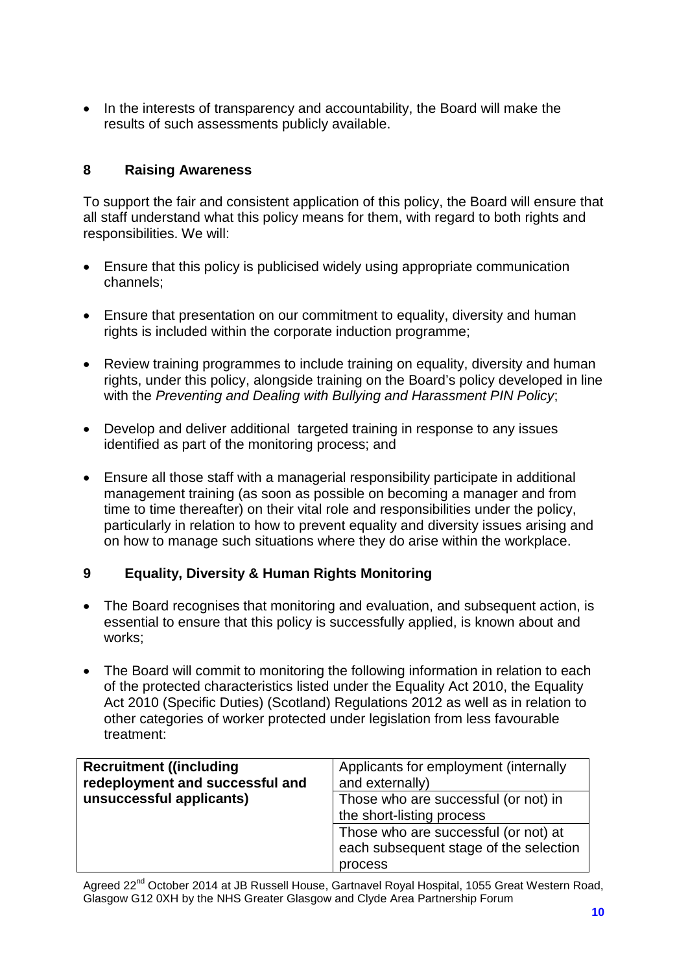• In the interests of transparency and accountability, the Board will make the results of such assessments publicly available.

#### **8 Raising Awareness**

To support the fair and consistent application of this policy, the Board will ensure that all staff understand what this policy means for them, with regard to both rights and responsibilities. We will:

- Ensure that this policy is publicised widely using appropriate communication channels;
- Ensure that presentation on our commitment to equality, diversity and human rights is included within the corporate induction programme;
- Review training programmes to include training on equality, diversity and human rights, under this policy, alongside training on the Board's policy developed in line with the *Preventing and Dealing with Bullying and Harassment PIN Policy*;
- Develop and deliver additional targeted training in response to any issues identified as part of the monitoring process; and
- Ensure all those staff with a managerial responsibility participate in additional management training (as soon as possible on becoming a manager and from time to time thereafter) on their vital role and responsibilities under the policy, particularly in relation to how to prevent equality and diversity issues arising and on how to manage such situations where they do arise within the workplace.

#### **9 Equality, Diversity & Human Rights Monitoring**

- The Board recognises that monitoring and evaluation, and subsequent action, is essential to ensure that this policy is successfully applied, is known about and works;
- The Board will commit to monitoring the following information in relation to each of the protected characteristics listed under the Equality Act 2010, the Equality Act 2010 (Specific Duties) (Scotland) Regulations 2012 as well as in relation to other categories of worker protected under legislation from less favourable treatment:

| <b>Recruitment ((including)</b><br>redeployment and successful and | Applicants for employment (internally<br>and externally)                                  |
|--------------------------------------------------------------------|-------------------------------------------------------------------------------------------|
| unsuccessful applicants)                                           | Those who are successful (or not) in<br>the short-listing process                         |
|                                                                    | Those who are successful (or not) at<br>each subsequent stage of the selection<br>process |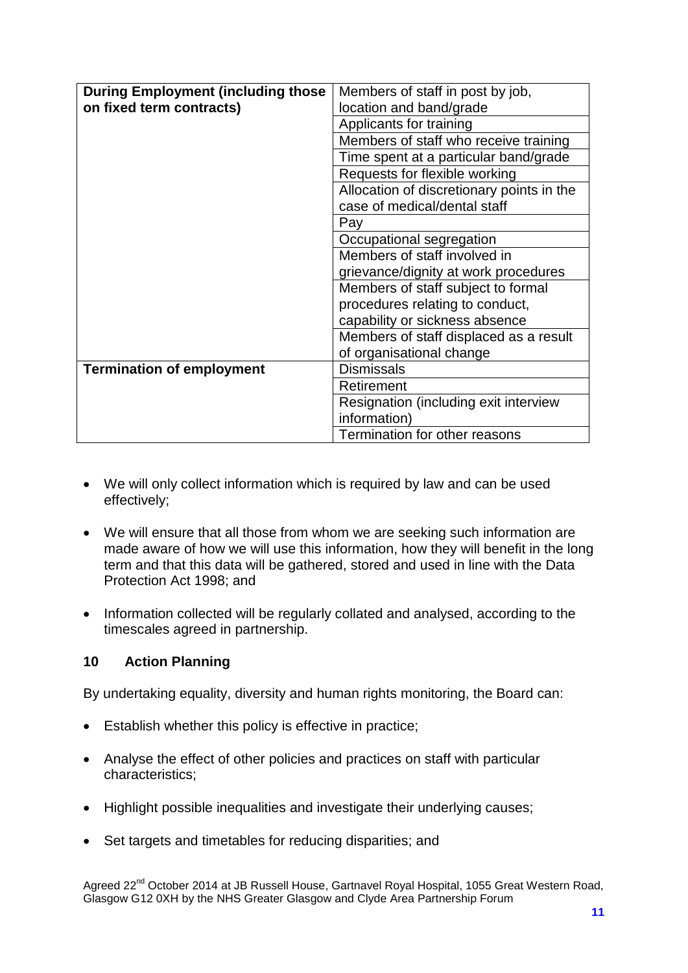| <b>During Employment (including those)</b> | Members of staff in post by job,          |
|--------------------------------------------|-------------------------------------------|
| on fixed term contracts)                   | location and band/grade                   |
|                                            | Applicants for training                   |
|                                            | Members of staff who receive training     |
|                                            | Time spent at a particular band/grade     |
|                                            | Requests for flexible working             |
|                                            | Allocation of discretionary points in the |
|                                            | case of medical/dental staff              |
|                                            | Pay                                       |
|                                            | Occupational segregation                  |
|                                            | Members of staff involved in              |
|                                            | grievance/dignity at work procedures      |
|                                            | Members of staff subject to formal        |
|                                            | procedures relating to conduct,           |
|                                            | capability or sickness absence            |
|                                            | Members of staff displaced as a result    |
|                                            | of organisational change                  |
| <b>Termination of employment</b>           | <b>Dismissals</b>                         |
|                                            | Retirement                                |
|                                            | Resignation (including exit interview     |
|                                            | information)                              |
|                                            | Termination for other reasons             |

- We will only collect information which is required by law and can be used effectively;
- We will ensure that all those from whom we are seeking such information are made aware of how we will use this information, how they will benefit in the long term and that this data will be gathered, stored and used in line with the Data Protection Act 1998; and
- Information collected will be regularly collated and analysed, according to the timescales agreed in partnership.

#### **10 Action Planning**

By undertaking equality, diversity and human rights monitoring, the Board can:

- Establish whether this policy is effective in practice;
- Analyse the effect of other policies and practices on staff with particular characteristics;
- Highlight possible inequalities and investigate their underlying causes;
- Set targets and timetables for reducing disparities; and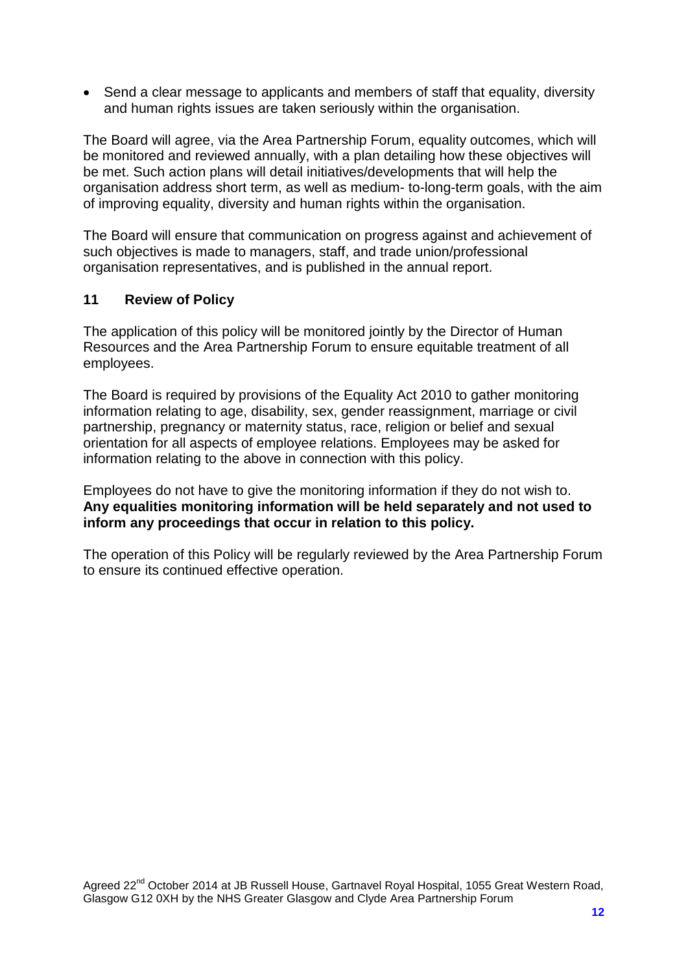• Send a clear message to applicants and members of staff that equality, diversity and human rights issues are taken seriously within the organisation.

The Board will agree, via the Area Partnership Forum, equality outcomes, which will be monitored and reviewed annually, with a plan detailing how these objectives will be met. Such action plans will detail initiatives/developments that will help the organisation address short term, as well as medium- to-long-term goals, with the aim of improving equality, diversity and human rights within the organisation.

The Board will ensure that communication on progress against and achievement of such objectives is made to managers, staff, and trade union/professional organisation representatives, and is published in the annual report.

#### **11 Review of Policy**

The application of this policy will be monitored jointly by the Director of Human Resources and the Area Partnership Forum to ensure equitable treatment of all employees.

The Board is required by provisions of the Equality Act 2010 to gather monitoring information relating to age, disability, sex, gender reassignment, marriage or civil partnership, pregnancy or maternity status, race, religion or belief and sexual orientation for all aspects of employee relations. Employees may be asked for information relating to the above in connection with this policy.

Employees do not have to give the monitoring information if they do not wish to. **Any equalities monitoring information will be held separately and not used to inform any proceedings that occur in relation to this policy.** 

The operation of this Policy will be regularly reviewed by the Area Partnership Forum to ensure its continued effective operation.